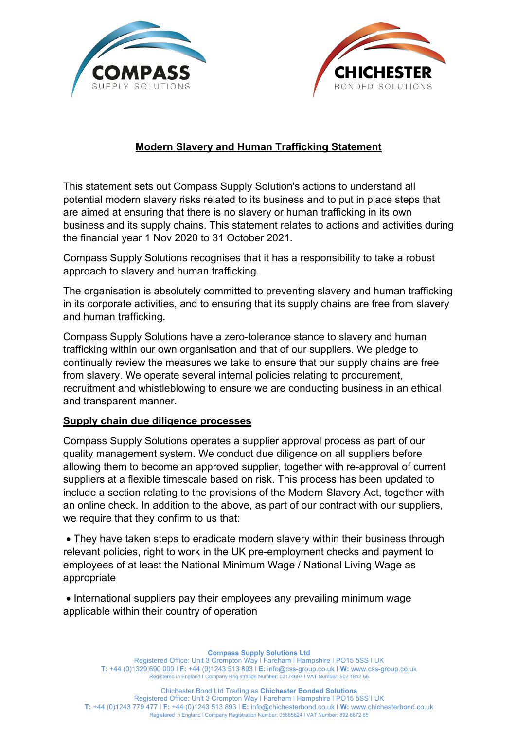



## **Modern Slavery and Human Trafficking Statement**

This statement sets out Compass Supply Solution's actions to understand all potential modern slavery risks related to its business and to put in place steps that are aimed at ensuring that there is no slavery or human trafficking in its own business and its supply chains. This statement relates to actions and activities during the financial year 1 Nov 2020 to 31 October 2021.

Compass Supply Solutions recognises that it has a responsibility to take a robust approach to slavery and human trafficking.

The organisation is absolutely committed to preventing slavery and human trafficking in its corporate activities, and to ensuring that its supply chains are free from slavery and human trafficking.

Compass Supply Solutions have a zero-tolerance stance to slavery and human trafficking within our own organisation and that of our suppliers. We pledge to continually review the measures we take to ensure that our supply chains are free from slavery. We operate several internal policies relating to procurement, recruitment and whistleblowing to ensure we are conducting business in an ethical and transparent manner.

## **Supply chain due diligence processes**

Compass Supply Solutions operates a supplier approval process as part of our quality management system. We conduct due diligence on all suppliers before allowing them to become an approved supplier, together with re-approval of current suppliers at a flexible timescale based on risk. This process has been updated to include a section relating to the provisions of the Modern Slavery Act, together with an online check. In addition to the above, as part of our contract with our suppliers, we require that they confirm to us that:

• They have taken steps to eradicate modern slavery within their business through relevant policies, right to work in the UK pre-employment checks and payment to employees of at least the National Minimum Wage / National Living Wage as appropriate

• International suppliers pay their employees any prevailing minimum wage applicable within their country of operation

**Compass Supply Solutions Ltd**

Registered Office: Unit 3 Crompton Way I Fareham I Hampshire I PO15 5SS I UK **T:** +44 (0)1329 690 000 ǀ **F:** +44 (0)1243 513 893 ǀ **E:** info@css-group.co.uk ǀ **W:** www.css-group.co.uk Registered in England ǀ Company Registration Number: 03174607 ǀ VAT Number: 902 1812 66